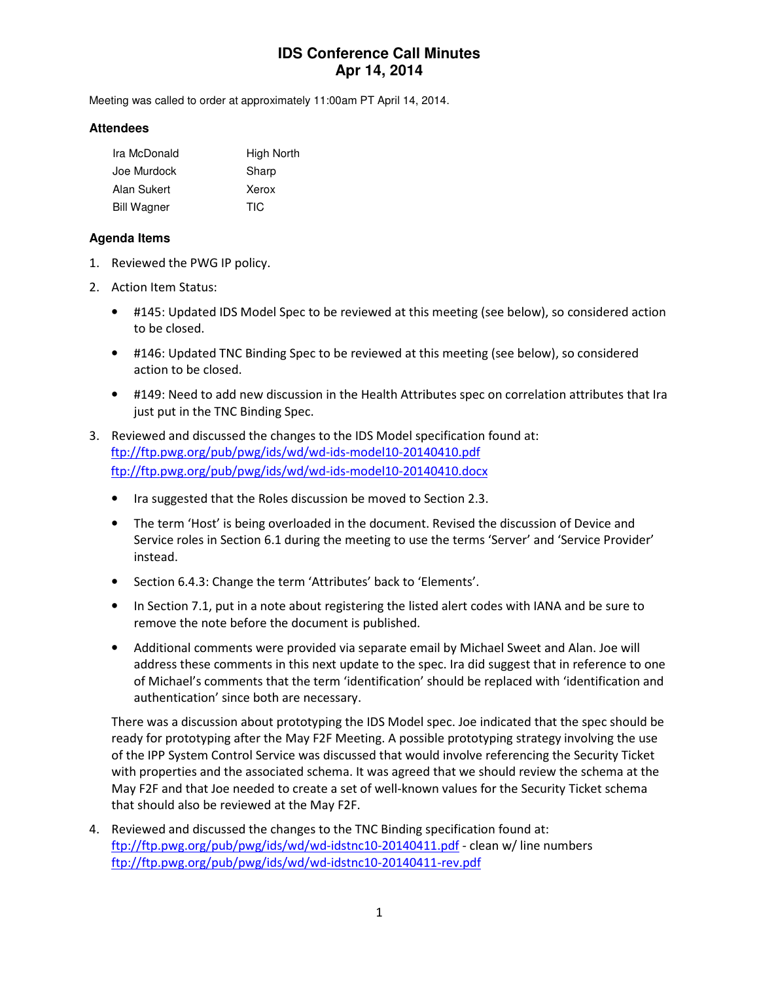# **IDS Conference Call Minutes Apr 14, 2014**

Meeting was called to order at approximately 11:00am PT April 14, 2014.

#### **Attendees**

| Ira McDonald       | High North |
|--------------------|------------|
| Joe Murdock        | Sharp      |
| Alan Sukert        | Xerox      |
| <b>Bill Wagner</b> | TIC.       |

#### **Agenda Items**

- 1. Reviewed the PWG IP policy.
- 2. Action Item Status:
	- #145: Updated IDS Model Spec to be reviewed at this meeting (see below), so considered action to be closed.
	- #146: Updated TNC Binding Spec to be reviewed at this meeting (see below), so considered action to be closed.
	- #149: Need to add new discussion in the Health Attributes spec on correlation attributes that Ira just put in the TNC Binding Spec.
- 3. Reviewed and discussed the changes to the IDS Model specification found at: ftp://ftp.pwg.org/pub/pwg/ids/wd/wd-ids-model10-20140410.pdf ftp://ftp.pwg.org/pub/pwg/ids/wd/wd-ids-model10-20140410.docx
	- Ira suggested that the Roles discussion be moved to Section 2.3.
	- The term 'Host' is being overloaded in the document. Revised the discussion of Device and Service roles in Section 6.1 during the meeting to use the terms 'Server' and 'Service Provider' instead.
	- Section 6.4.3: Change the term 'Attributes' back to 'Elements'.
	- In Section 7.1, put in a note about registering the listed alert codes with IANA and be sure to remove the note before the document is published.
	- Additional comments were provided via separate email by Michael Sweet and Alan. Joe will address these comments in this next update to the spec. Ira did suggest that in reference to one of Michael's comments that the term 'identification' should be replaced with 'identification and authentication' since both are necessary.

There was a discussion about prototyping the IDS Model spec. Joe indicated that the spec should be ready for prototyping after the May F2F Meeting. A possible prototyping strategy involving the use of the IPP System Control Service was discussed that would involve referencing the Security Ticket with properties and the associated schema. It was agreed that we should review the schema at the May F2F and that Joe needed to create a set of well-known values for the Security Ticket schema that should also be reviewed at the May F2F.

4. Reviewed and discussed the changes to the TNC Binding specification found at: ftp://ftp.pwg.org/pub/pwg/ids/wd/wd-idstnc10-20140411.pdf - clean w/ line numbers ftp://ftp.pwg.org/pub/pwg/ids/wd/wd-idstnc10-20140411-rev.pdf